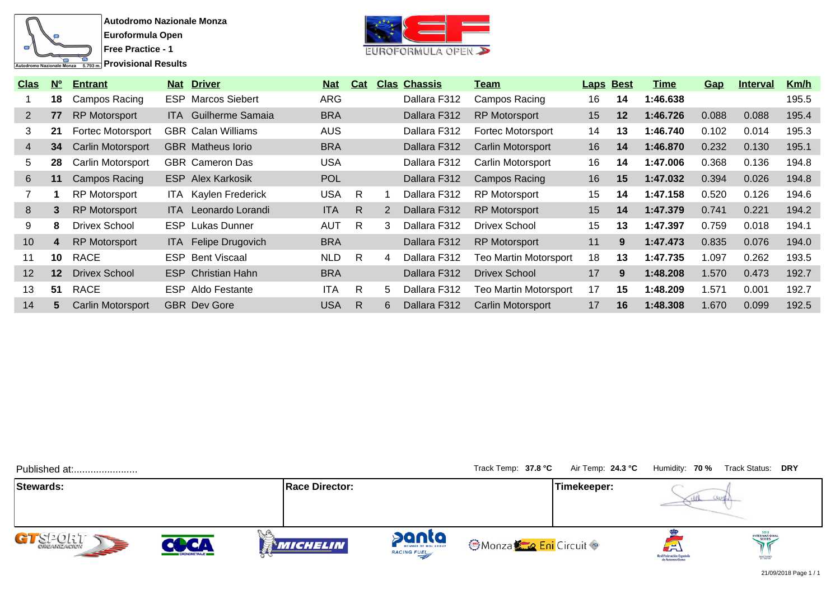



| <b>Clas</b>           | N <sup>o</sup>  | <b>Entrant</b>           | <b>Nat Driver</b>           | <u>Nat</u> | Cat |    | <b>Clas Chassis</b> | <u>Team</u>                  | <b>Laps Best</b> |         | Time     | Gap   | <u>Interval</u> | <u>Km/h</u> |
|-----------------------|-----------------|--------------------------|-----------------------------|------------|-----|----|---------------------|------------------------------|------------------|---------|----------|-------|-----------------|-------------|
|                       | 18              | Campos Racing            | <b>ESP</b> Marcos Siebert   | <b>ARG</b> |     |    | Dallara F312        | Campos Racing                | 16               | 14      | 1:46.638 |       |                 | 195.5       |
| $\mathbf{2}^{\prime}$ | 77              | <b>RP Motorsport</b>     | <b>ITA</b> Guilherme Samaia | <b>BRA</b> |     |    | Dallara F312        | <b>RP Motorsport</b>         | 15               | $12 \,$ | 1:46.726 | 0.088 | 0.088           | 195.4       |
| 3                     | 21              | Fortec Motorsport        | <b>GBR</b> Calan Williams   | <b>AUS</b> |     |    | Dallara F312        | <b>Fortec Motorsport</b>     | 14               | 13      | 1:46.740 | 0.102 | 0.014           | 195.3       |
| 4                     | 34              | <b>Carlin Motorsport</b> | <b>GBR</b> Matheus lorio    | <b>BRA</b> |     |    | Dallara F312        | Carlin Motorsport            | 16               | 14      | 1:46.870 | 0.232 | 0.130           | 195.1       |
| 5                     | 28              | Carlin Motorsport        | <b>GBR</b> Cameron Das      | <b>USA</b> |     |    | Dallara F312        | Carlin Motorsport            | 16               | 14      | 1:47.006 | 0.368 | 0.136           | 194.8       |
| 6                     | 11              | Campos Racing            | <b>ESP</b> Alex Karkosik    | <b>POL</b> |     |    | Dallara F312        | Campos Racing                | 16               | 15      | 1:47.032 | 0.394 | 0.026           | 194.8       |
|                       |                 | <b>RP Motorsport</b>     | <b>ITA</b> Kaylen Frederick | <b>USA</b> | R.  |    | Dallara F312        | <b>RP Motorsport</b>         | 15               | 14      | 1:47.158 | 0.520 | 0.126           | 194.6       |
| 8                     | 3.              | <b>RP Motorsport</b>     | <b>ITA</b> Leonardo Lorandi | <b>ITA</b> | R.  | 2  | Dallara F312        | <b>RP Motorsport</b>         | 15               | 14      | 1:47.379 | 0.741 | 0.221           | 194.2       |
| 9                     | 8               | Drivex School            | <b>ESP</b> Lukas Dunner     | <b>AUT</b> | R.  | 3  | Dallara F312        | Drivex School                | 15               | 13      | 1:47.397 | 0.759 | 0.018           | 194.1       |
| 10                    | 4               | <b>RP</b> Motorsport     | ITA Felipe Drugovich        | <b>BRA</b> |     |    | Dallara F312        | <b>RP Motorsport</b>         | 11               | 9       | 1:47.473 | 0.835 | 0.076           | 194.0       |
| 11                    | 10              | RACE                     | <b>ESP</b> Bent Viscaal     | <b>NLD</b> | R   | 4  | Dallara F312        | <b>Teo Martin Motorsport</b> | 18               | 13      | 1:47.735 | .097  | 0.262           | 193.5       |
| 12                    | 12 <sup>2</sup> | <b>Drivex School</b>     | <b>ESP</b> Christian Hahn   | <b>BRA</b> |     |    | Dallara F312        | <b>Drivex School</b>         | 17               | 9       | 1:48.208 | 1.570 | 0.473           | 192.7       |
| 13                    | 51              | <b>RACE</b>              | <b>ESP</b> Aldo Festante    | <b>ITA</b> | R   | 5. | Dallara F312        | <b>Teo Martin Motorsport</b> | 17               | 15      | 1:48.209 | .571  | 0.001           | 192.7       |
| 14                    | 5.              | <b>Carlin Motorsport</b> | <b>GBR</b> Dev Gore         | <b>USA</b> | R.  | 6  | Dallara F312        | Carlin Motorsport            | 17               | 16      | 1:48.308 | 1.670 | 0.099           | 192.5       |

| Published at:          |                     |                       |                      | Track Temp: 37.8 °C                       | Air Temp: 24.3 °C |                                 | Humidity: 70 % Track Status: DRY |
|------------------------|---------------------|-----------------------|----------------------|-------------------------------------------|-------------------|---------------------------------|----------------------------------|
| Stewards:              |                     | <b>Race Director:</b> |                      |                                           | Timekeeper:       |                                 |                                  |
| GT SPORT<br><b>SEP</b> | <b>CRONOMETRAJE</b> | <b>MICHELIN</b>       | panta<br>RACING FUEL | <b>OMonza<del>k</del> o Eni</b> Circuit © |                   | لظم<br>Real Federación Española | INTERNATIONAL<br>ANCEON          |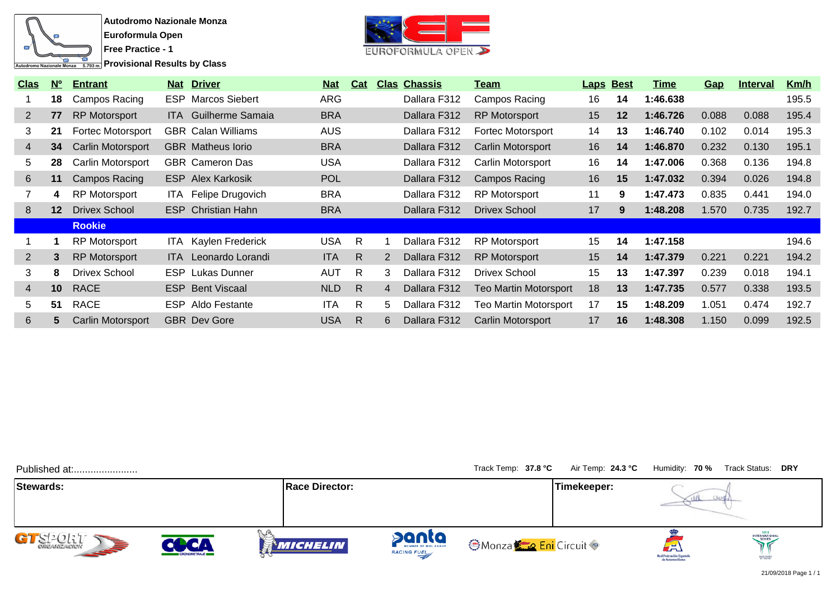

**Provisional Results by Class** 



| <b>Clas</b>    | N <sup>o</sup>  | <b>Entrant</b>           |       | <b>Nat Driver</b>           | <b>Nat</b> | Cat          |                      | <b>Clas Chassis</b> | <u>Team</u>                  | <b>Laps Best</b> |    | Time     | <u>Gap</u> | <b>Interval</b> | <u>Km/h</u> |
|----------------|-----------------|--------------------------|-------|-----------------------------|------------|--------------|----------------------|---------------------|------------------------------|------------------|----|----------|------------|-----------------|-------------|
|                | 18              | Campos Racing            |       | <b>ESP</b> Marcos Siebert   | <b>ARG</b> |              |                      | Dallara F312        | Campos Racing                | 16               | 14 | 1:46.638 |            |                 | 195.5       |
| $\overline{2}$ | 77              | <b>RP Motorsport</b>     |       | <b>ITA</b> Guilherme Samaia | <b>BRA</b> |              |                      | Dallara F312        | <b>RP Motorsport</b>         | 15               | 12 | 1:46.726 | 0.088      | 0.088           | 195.4       |
| 3              | 21              | <b>Fortec Motorsport</b> |       | <b>GBR</b> Calan Williams   | <b>AUS</b> |              |                      | Dallara F312        | <b>Fortec Motorsport</b>     | 14               | 13 | 1:46.740 | 0.102      | 0.014           | 195.3       |
| 4              | 34              | <b>Carlin Motorsport</b> |       | <b>GBR</b> Matheus lorio    | <b>BRA</b> |              |                      | Dallara F312        | <b>Carlin Motorsport</b>     | 16               | 14 | 1:46.870 | 0.232      | 0.130           | 195.1       |
| 5              | 28              | Carlin Motorsport        |       | <b>GBR</b> Cameron Das      | <b>USA</b> |              |                      | Dallara F312        | Carlin Motorsport            | 16               | 14 | 1:47.006 | 0.368      | 0.136           | 194.8       |
| 6              | 11              | Campos Racing            |       | <b>ESP Alex Karkosik</b>    | <b>POL</b> |              |                      | Dallara F312        | Campos Racing                | 16               | 15 | 1:47.032 | 0.394      | 0.026           | 194.8       |
|                | 4               | <b>RP Motorsport</b>     |       | ITA Felipe Drugovich        | <b>BRA</b> |              |                      | Dallara F312        | <b>RP Motorsport</b>         | 11               | 9  | 1:47.473 | 0.835      | 0.441           | 194.0       |
| 8              | 12 <sup>°</sup> | <b>Drivex School</b>     |       | <b>ESP</b> Christian Hahn   | <b>BRA</b> |              |                      | Dallara F312        | Drivex School                | 17               | 9  | 1:48.208 | 1.570      | 0.735           | 192.7       |
|                |                 | <b>Rookie</b>            |       |                             |            |              |                      |                     |                              |                  |    |          |            |                 |             |
|                |                 | <b>RP Motorsport</b>     |       | <b>ITA</b> Kaylen Frederick | <b>USA</b> | R            |                      | Dallara F312        | <b>RP Motorsport</b>         | 15               | 14 | 1:47.158 |            |                 | 194.6       |
| $\overline{2}$ | 3               | <b>RP Motorsport</b>     | ITA I | Leonardo Lorandi            | <b>ITA</b> | R.           | $\mathbf{2}^{\circ}$ | Dallara F312        | <b>RP Motorsport</b>         | 15               | 14 | 1:47.379 | 0.221      | 0.221           | 194.2       |
| 3              | 8               | <b>Drivex School</b>     |       | <b>ESP</b> Lukas Dunner     | <b>AUT</b> | R.           | 3                    | Dallara F312        | <b>Drivex School</b>         | 15               | 13 | 1:47.397 | 0.239      | 0.018           | 194.1       |
| $\overline{4}$ | 10 <sup>°</sup> | <b>RACE</b>              |       | <b>ESP</b> Bent Viscaal     | <b>NLD</b> | R            | 4                    | Dallara F312        | Teo Martin Motorsport        | 18               | 13 | 1:47.735 | 0.577      | 0.338           | 193.5       |
| 5              | 51              | <b>RACE</b>              |       | <b>ESP</b> Aldo Festante    | <b>ITA</b> | R            | 5.                   | Dallara F312        | <b>Teo Martin Motorsport</b> | 17               | 15 | 1:48.209 | 1.051      | 0.474           | 192.7       |
| 6              | 5.              | Carlin Motorsport        |       | <b>GBR</b> Dev Gore         | <b>USA</b> | $\mathsf{R}$ | 6                    | Dallara F312        | <b>Carlin Motorsport</b>     | 17               | 16 | 1:48.308 | 1.150      | 0.099           | 192.5       |

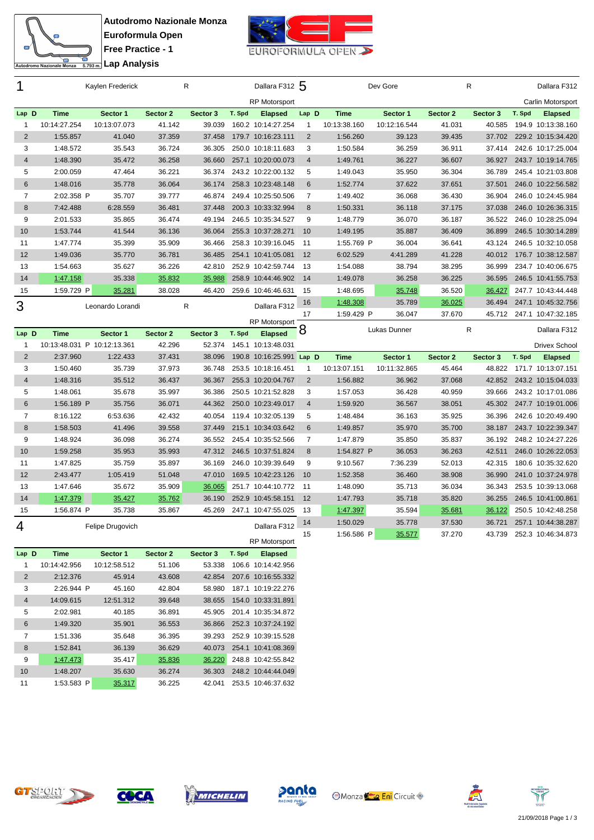



| 1                   |                             | Kaylen Frederick   |                  | R                |        | Dallara F312 5                           |                |                      | Dev Gore         |                  | R                |        | Dallara F312                             |
|---------------------|-----------------------------|--------------------|------------------|------------------|--------|------------------------------------------|----------------|----------------------|------------------|------------------|------------------|--------|------------------------------------------|
|                     |                             |                    |                  |                  |        | <b>RP Motorsport</b>                     |                |                      |                  |                  |                  |        | Carlin Motorsport                        |
| Lap D               | <b>Time</b>                 | Sector 1           | Sector 2         | Sector 3         | T. Spd | <b>Elapsed</b>                           | Lap D          | <b>Time</b>          | Sector 1         | Sector 2         | Sector 3         | T. Spd | <b>Elapsed</b>                           |
| $\mathbf{1}$        | 10:14:27.254                | 10:13:07.073       | 41.142           | 39.039           |        | 160.2 10:14:27.254                       | $\mathbf{1}$   | 10:13:38.160         | 10:12:16.544     | 41.031           | 40.585           |        | 194.9 10:13:38.160                       |
| 2                   | 1:55.857                    | 41.040             | 37.359           | 37.458           |        | 179.7 10:16:23.111                       | 2              | 1:56.260             | 39.123           | 39.435           | 37.702           |        | 229.2 10:15:34.420                       |
| 3                   | 1:48.572                    | 35.543             | 36.724           | 36.305           |        | 250.0 10:18:11.683                       | 3              | 1:50.584             | 36.259           | 36.911           | 37.414           |        | 242.6 10:17:25.004                       |
| $\overline{4}$      | 1:48.390                    | 35.472             | 36.258           | 36.660           |        | 257.1 10:20:00.073                       | $\overline{4}$ | 1:49.761             | 36.227           | 36.607           | 36.927           |        | 243.7 10:19:14.765                       |
| 5                   | 2:00.059                    | 47.464             | 36.221           | 36.374           |        | 243.2 10:22:00.132                       | 5              | 1:49.043             | 35.950           | 36.304           | 36.789           |        | 245.4 10:21:03.808                       |
| $6\phantom{1}$      | 1:48.016                    | 35.778             | 36.064           | 36.174           |        | 258.3 10:23:48.148                       | 6              | 1:52.774             | 37.622           | 37.651           | 37.501           |        | 246.0 10:22:56.582                       |
| $\overline{7}$      | 2:02.358 P                  | 35.707             | 39.777           | 46.874           |        | 249.4 10:25:50.506                       | $\overline{7}$ | 1:49.402             | 36.068           | 36.430           | 36.904           |        | 246.0 10:24:45.984                       |
| 8                   | 7:42.488                    | 6:28.559           | 36.481           | 37.448           |        | 200.3 10:33:32.994                       | 8              | 1:50.331             | 36.118           | 37.175           | 37.038           |        | 246.0 10:26:36.315                       |
| 9                   | 2:01.533                    | 35.865             | 36.474           | 49.194           |        | 246.5 10:35:34.527                       | 9              | 1:48.779             | 36.070           | 36.187           | 36.522           |        | 246.0 10:28:25.094                       |
| 10                  | 1:53.744                    | 41.544             | 36.136           | 36.064           |        | 255.3 10:37:28.271                       | 10             | 1:49.195             | 35.887           | 36.409           | 36.899           |        | 246.5 10:30:14.289                       |
| 11                  | 1:47.774                    | 35.399             | 35.909           | 36.466           |        | 258.3 10:39:16.045                       | 11             | 1:55.769 P           | 36.004           | 36.641           | 43.124           |        | 246.5 10:32:10.058                       |
| 12                  | 1:49.036                    | 35.770             | 36.781           | 36.485           |        | 254.1 10:41:05.081                       | 12             | 6:02.529             | 4:41.289         | 41.228           | 40.012           |        | 176.7 10:38:12.587                       |
| 13                  | 1:54.663                    | 35.627             | 36.226           | 42.810           |        | 252.9 10:42:59.744                       | - 13           | 1:54.088             | 38.794           | 38.295           | 36.999           |        | 234.7 10:40:06.675                       |
| 14                  | 1:47.158                    | 35.338             | 35.832           | 35.988           |        | 258.9 10:44:46.902 14                    |                | 1:49.078             | 36.258           | 36.225           | 36.595           |        | 246.5 10:41:55.753                       |
| 15                  | 1:59.729 P                  | 35.281             | 38.028           | 46.420           |        | 259.6 10:46:46.631                       | 15             | 1:48.695             | 35.748           | 36.520           | 36.427           |        | 247.7 10:43:44.448                       |
| 3                   |                             | Leonardo Lorandi   |                  | R                |        | Dallara F312                             | 16             | 1:48.308             | 35.789           | 36.025           | 36.494           |        | 247.1 10:45:32.756                       |
|                     |                             |                    |                  |                  |        |                                          | 17             | 1:59.429 P           | 36.047           | 37.670           | 45.712           |        | 247.1 10:47:32.185                       |
|                     |                             |                    |                  |                  |        | <b>RP Motorsport</b>                     |                |                      |                  |                  |                  |        |                                          |
|                     |                             |                    |                  |                  |        |                                          |                |                      | Lukas Dunner     |                  | R                |        | Dallara F312                             |
| Lap D               | <b>Time</b>                 | Sector 1           | Sector 2         | Sector 3         | T. Spd | <b>Elapsed</b>                           | 8              |                      |                  |                  |                  |        |                                          |
| $\mathbf{1}$        | 10:13:48.031 P 10:12:13.361 |                    | 42.296           | 52.374           |        | 145.1 10:13:48.031                       |                |                      |                  |                  |                  |        | <b>Drivex School</b>                     |
| $\overline{2}$      | 2:37.960                    | 1:22.433           | 37.431           | 38.096           |        | 190.8 10:16:25.991 Lap D                 |                | <b>Time</b>          | Sector 1         | Sector 2         | Sector 3         | T. Spd | <b>Elapsed</b>                           |
| 3                   | 1:50.460                    | 35.739             | 37.973           | 36.748           |        | 253.5 10:18:16.451                       | $\mathbf{1}$   | 10:13:07.151         | 10:11:32.865     | 45.464           | 48.822           |        | 171.7 10:13:07.151                       |
| $\overline{4}$<br>5 | 1:48.316<br>1:48.061        | 35.512<br>35.678   | 36.437<br>35.997 | 36.367<br>36.386 |        | 255.3 10:20:04.767<br>250.5 10:21:52.828 | 2<br>3         | 1:56.882<br>1:57.053 | 36.962<br>36.428 | 37.068           | 42.852<br>39.666 |        | 243.2 10:15:04.033<br>243.2 10:17:01.086 |
| $6\phantom{1}$      | 1:56.189 P                  |                    |                  | 44.362           |        | 250.0 10:23:49.017                       | $\overline{4}$ |                      |                  | 40.959           | 45.302           |        | 247.7 10:19:01.006                       |
| $\overline{7}$      |                             | 35.756<br>6:53.636 | 36.071<br>42.432 | 40.054           |        | 119.4 10:32:05.139                       | 5              | 1:59.920<br>1:48.484 | 36.567<br>36.163 | 38.051<br>35.925 | 36.396           |        | 242.6 10:20:49.490                       |
| 8                   | 8:16.122<br>1:58.503        | 41.496             | 39.558           | 37.449           |        | 215.1 10:34:03.642                       | 6              | 1:49.857             | 35.970           | 35.700           | 38.187           |        | 243.7 10:22:39.347                       |
| 9                   | 1:48.924                    | 36.098             | 36.274           | 36.552           |        | 245.4 10:35:52.566                       | $\overline{7}$ | 1:47.879             | 35.850           | 35.837           | 36.192           |        | 248.2 10:24:27.226                       |
| 10                  | 1:59.258                    | 35.953             | 35.993           | 47.312           |        | 246.5 10:37:51.824                       | 8              | 1:54.827 P           | 36.053           | 36.263           | 42.511           |        | 246.0 10:26:22.053                       |
| 11                  | 1:47.825                    | 35.759             | 35.897           | 36.169           |        | 246.0 10:39:39.649                       | 9              | 9:10.567             | 7:36.239         | 52.013           | 42.315           |        | 180.6 10:35:32.620                       |
| 12                  | 2:43.477                    | 1:05.419           | 51.048           | 47.010           |        | 169.5 10:42:23.126                       | 10             | 1:52.358             | 36.460           | 38.908           | 36.990           |        | 241.0 10:37:24.978                       |
| 13                  | 1:47.646                    | 35.672             | 35.909           | 36.065           |        | 251.7 10:44:10.772 11                    |                | 1:48.090             | 35.713           | 36.034           | 36.343           |        | 253.5 10:39:13.068                       |
| 14                  | 1:47.379                    | 35.427             | 35.762           | 36.190           |        | 252.9 10:45:58.151                       | 12             | 1:47.793             | 35.718           | 35.820           | 36.255           |        | 246.5 10:41:00.861                       |
| 15                  | 1:56.874 P                  | 35.738             | 35.867           | 45.269           |        | 247.1 10:47:55.025                       | 13             | 1:47.397             | 35.594           |                  | 36.122           |        | 250.5 10:42:48.258                       |
|                     |                             |                    |                  |                  |        |                                          | 14             | 1:50.029             | 35.778           | 35.681<br>37.530 | 36.721           |        | 257.1 10:44:38.287                       |
| 4                   |                             | Felipe Drugovich   |                  |                  |        | Dallara F312                             | 15             | 1:56.586 P           |                  | 37.270           | 43.739           |        | 252.3 10:46:34.873                       |
| Lap D               |                             |                    |                  |                  | T. Spd | RP Motorsport                            |                |                      | 35.577           |                  |                  |        |                                          |

| Lap D          | Time         |   | Sector 1     | Sector 2 | Sector 3 | T. Spd | <b>Elapsed</b>     |
|----------------|--------------|---|--------------|----------|----------|--------|--------------------|
| 1              | 10:14:42.956 |   | 10:12:58.512 | 51.106   | 53.338   | 106.6  | 10:14:42.956       |
| $\overline{2}$ | 2:12.376     |   | 45.914       | 43.608   | 42.854   | 207.6  | 10:16:55.332       |
| 3              | 2:26.944 P   |   | 45.160       | 42.804   | 58.980   | 187.1  | 10:19:22.276       |
| $\overline{4}$ | 14:09.615    |   | 12:51.312    | 39.648   | 38.655   | 154.0  | 10:33:31.891       |
| 5              | 2:02.981     |   | 40.185       | 36.891   | 45.905   | 201.4  | 10:35:34.872       |
| 6              | 1:49.320     |   | 35.901       | 36.553   | 36.866   |        | 252.3 10:37:24.192 |
| 7              | 1:51.336     |   | 35.648       | 36.395   | 39.293   | 252.9  | 10:39:15.528       |
| 8              | 1:52.841     |   | 36.139       | 36.629   | 40.073   | 254.1  | 10:41:08.369       |
| 9              | 1:47.473     |   | 35.417       | 35.836   | 36.220   | 248.8  | 10:42:55.842       |
| 10             | 1:48.207     |   | 35.630       | 36.274   | 36.303   |        | 248.2 10:44:44.049 |
| 11             | 1:53.583     | P | 35.317       | 36.225   | 42.041   | 253.5  | 10:46:37.632       |









**Monza Eni** Circuit



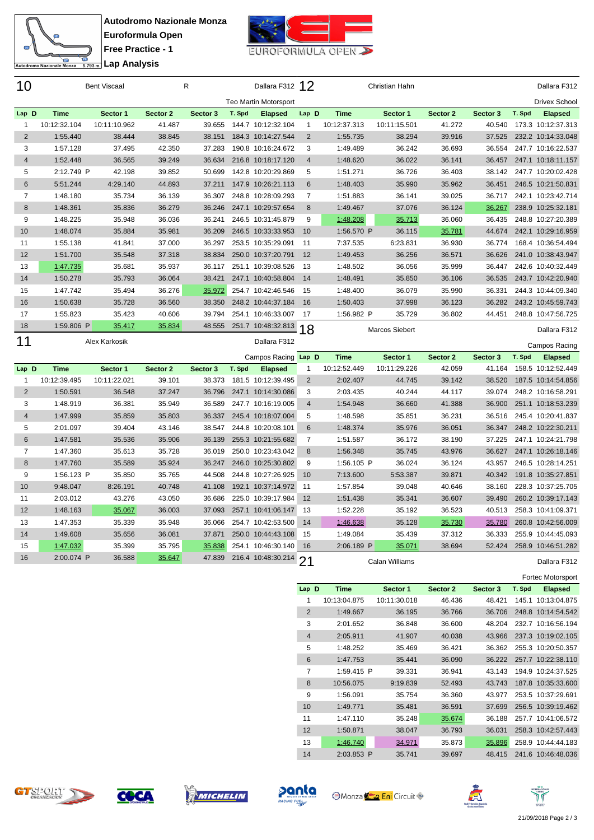



| 10             |              | <b>Bent Viscaal</b> |          | R        |        | Dallara F312 12                             |                |              | Christian Hahn |          |          |        | Dallara F312         |
|----------------|--------------|---------------------|----------|----------|--------|---------------------------------------------|----------------|--------------|----------------|----------|----------|--------|----------------------|
|                |              |                     |          |          |        | <b>Teo Martin Motorsport</b>                |                |              |                |          |          |        | <b>Drivex School</b> |
| Lap D          | <b>Time</b>  | Sector 1            | Sector 2 | Sector 3 | T. Spd | <b>Elapsed</b>                              | Lap D          | <b>Time</b>  | Sector 1       | Sector 2 | Sector 3 | T. Spd | <b>Elapsed</b>       |
| $\mathbf{1}$   | 10:12:32.104 | 10:11:10.962        | 41.487   | 39.655   |        | 144.7 10:12:32.104                          | 1              | 10:12:37.313 | 10:11:15.501   | 41.272   | 40.540   |        | 173.3 10:12:37.313   |
| $\overline{2}$ | 1:55.440     | 38.444              | 38.845   | 38.151   |        | 184.3 10:14:27.544                          | 2              | 1:55.735     | 38.294         | 39.916   | 37.525   |        | 232.2 10:14:33.048   |
| 3              | 1:57.128     | 37.495              | 42.350   | 37.283   |        | 190.8 10:16:24.672                          | 3              | 1:49.489     | 36.242         | 36.693   | 36.554   |        | 247.7 10:16:22.537   |
| $\overline{4}$ | 1:52.448     | 36.565              | 39.249   | 36.634   |        | 216.8 10:18:17.120                          | $\overline{4}$ | 1:48.620     | 36.022         | 36.141   | 36.457   |        | 247.1 10:18:11.157   |
| 5              | 2:12.749 P   | 42.198              | 39.852   | 50.699   |        | 142.8 10:20:29.869                          | 5              | 1:51.271     | 36.726         | 36.403   | 38.142   |        | 247.7 10:20:02.428   |
| $6\phantom{1}$ | 5:51.244     | 4:29.140            | 44.893   | 37.211   |        | 147.9 10:26:21.113                          | 6              | 1:48.403     | 35.990         | 35.962   | 36.451   |        | 246.5 10:21:50.831   |
| $\overline{7}$ | 1:48.180     | 35.734              | 36.139   | 36.307   |        | 248.8 10:28:09.293                          | $\overline{7}$ | 1:51.883     | 36.141         | 39.025   | 36.717   |        | 242.1 10:23:42.714   |
| 8              | 1:48.361     | 35.836              | 36.279   | 36.246   |        | 247.1 10:29:57.654                          | 8              | 1:49.467     | 37.076         | 36.124   | 36.267   |        | 238.9 10:25:32.181   |
| 9              | 1:48.225     | 35.948              | 36.036   | 36.241   |        | 246.5 10:31:45.879                          | 9              | 1:48.208     | 35.713         | 36.060   | 36.435   |        | 248.8 10:27:20.389   |
| 10             | 1:48.074     | 35.884              | 35.981   | 36.209   |        | 246.5 10:33:33.953                          | 10             | 1:56.570 P   | 36.115         | 35.781   | 44.674   |        | 242.1 10:29:16.959   |
| 11             | 1:55.138     | 41.841              | 37.000   | 36.297   |        | 253.5 10:35:29.091                          | 11             | 7:37.535     | 6:23.831       | 36.930   | 36.774   |        | 168.4 10:36:54.494   |
| 12             | 1:51.700     | 35.548              | 37.318   | 38.834   |        | 250.0 10:37:20.791                          | 12             | 1:49.453     | 36.256         | 36.571   | 36.626   |        | 241.0 10:38:43.947   |
| 13             | 1:47.735     | 35.681              | 35.937   | 36.117   |        | 251.1 10:39:08.526                          | 13             | 1:48.502     | 36.056         | 35.999   | 36.447   |        | 242.6 10:40:32.449   |
| 14             | 1:50.278     | 35.793              | 36.064   | 38.421   |        | 247.1 10:40:58.804                          | 14             | 1:48.491     | 35.850         | 36.106   | 36.535   |        | 243.7 10:42:20.940   |
| 15             | 1:47.742     | 35.494              | 36.276   | 35.972   |        | 254.7 10:42:46.546                          | 15             | 1:48.400     | 36.079         | 35.990   | 36.331   |        | 244.3 10:44:09.340   |
| 16             | 1:50.638     | 35.728              | 36.560   | 38.350   |        | 248.2 10:44:37.184                          | 16             | 1:50.403     | 37.998         | 36.123   | 36.282   |        | 243.2 10:45:59.743   |
| 17             | 1:55.823     | 35.423              | 40.606   | 39.794   |        | 254.1 10:46:33.007                          | 17             | 1:56.982 P   | 35.729         | 36.802   | 44.451   |        | 248.8 10:47:56.725   |
| 18             | 1:59.806 P   | 35.417              | 35.834   | 48.555   |        | 251.7 10:48:32.813                          | 8              |              | Marcos Siebert |          |          |        | Dallara F312         |
| 11             |              | Alex Karkosik       |          |          |        | Dallara F312                                |                |              |                |          |          |        | Campos Racing        |
|                |              |                     |          |          |        | Campos Racing                               | Lap D          | <b>Time</b>  | Sector 1       | Sector 2 | Sector 3 | T. Spd | <b>Elapsed</b>       |
| Lap D          | <b>Time</b>  | Sector 1            | Sector 2 | Sector 3 | T. Spd | <b>Elapsed</b>                              | 1              | 10:12:52.449 | 10:11:29.226   | 42.059   | 41.164   |        | 158.5 10:12:52.449   |
| $\mathbf{1}$   | 10:12:39.495 | 10:11:22.021        | 39.101   | 38.373   |        | 181.5 10:12:39.495                          | 2              | 2:02.407     | 44.745         | 39.142   | 38.520   |        | 187.5 10:14:54.856   |
| $\overline{2}$ | 1:50.591     | 36.548              | 37.247   | 36.796   |        | 247.1 10:14:30.086                          | 3              | 2:03.435     | 40.244         | 44.117   | 39.074   |        | 248.2 10:16:58.291   |
| 3              | 1:48.919     | 36.381              | 35.949   | 36.589   |        | 247.7 10:16:19.005                          | $\overline{4}$ | 1:54.948     | 36.660         | 41.388   | 36.900   |        | 251.1 10:18:53.239   |
| $\overline{4}$ | 1:47.999     | 35.859              | 35.803   | 36.337   |        | 245.4 10:18:07.004                          | 5              | 1:48.598     | 35.851         | 36.231   | 36.516   |        | 245.4 10:20:41.837   |
| 5              | 2:01.097     | 39.404              | 43.146   | 38.547   |        | 244.8 10:20:08.101                          | 6              | 1:48.374     | 35.976         | 36.051   | 36.347   |        | 248.2 10:22:30.211   |
| 6              | 1:47.581     | 35.536              | 35.906   | 36.139   |        | 255.3 10:21:55.682                          | $\overline{7}$ |              |                |          | 37.225   |        | 247.1 10:24:21.798   |
| $\overline{7}$ |              |                     |          |          |        |                                             |                | 1:51.587     | 36.172         | 38.190   |          |        |                      |
| 8              | 1:47.360     | 35.613              | 35.728   | 36.019   |        | 250.0 10:23:43.042                          | 8              | 1:56.348     | 35.745         | 43.976   | 36.627   |        | 247.1 10:26:18.146   |
|                | 1:47.760     | 35.589              | 35.924   | 36.247   |        | 246.0 10:25:30.802                          | 9              | 1:56.105 P   | 36.024         | 36.124   | 43.957   |        | 246.5 10:28:14.251   |
| 9              | 1:56.123 P   | 35.850              | 35.765   | 44.508   |        | 244.8 10:27:26.925                          | 10             | 7:13.600     | 5:53.387       | 39.871   | 40.342   |        | 191.8 10:35:27.851   |
| 10             | 9:48.047     | 8:26.191            | 40.748   | 41.108   |        | 192.1 10:37:14.972                          | 11             | 1:57.854     | 39.048         | 40.646   | 38.160   |        | 228.3 10:37:25.705   |
| 11             | 2:03.012     | 43.276              | 43.050   | 36.686   |        | 225.0 10:39:17.984                          | 12             | 1:51.438     | 35.341         | 36.607   | 39.490   |        | 260.2 10:39:17.143   |
| 12             | 1:48.163     | 35.067              | 36.003   | 37.093   |        | 257.1 10:41:06.147                          | 13             | 1:52.228     | 35.192         | 36.523   | 40.513   |        | 258.3 10:41:09.371   |
| 13             | 1:47.353     | 35.339              | 35.948   | 36.066   |        | 254.7 10:42:53.500                          | 14             | 1:46.638     | 35.128         | 35.730   | 35.780   |        | 260.8 10:42:56.009   |
| 14             | 1:49.608     | 35.656              | 36.081   | 37.871   |        | 250.0 10:44:43.108                          | 15             | 1:49.084     | 35.439         | 37.312   | 36.333   |        | 255.9 10:44:45.093   |
| 15             | 1:47.032     | 35.399              | 35.795   | 35.838   |        | 254.1 10:46:30.140<br>216.4 10:48:30.214 21 | 16             | 2:06.189 P   | 35.071         | 38.694   | 52.424   |        | 258.9 10:46:51.282   |

|                |              |   |              |          |          |        | Fortec Motorsport  |
|----------------|--------------|---|--------------|----------|----------|--------|--------------------|
| Lap D          | <b>Time</b>  |   | Sector 1     | Sector 2 | Sector 3 | T. Spd | <b>Elapsed</b>     |
| 1              | 10:13:04.875 |   | 10:11:30.018 | 46.436   | 48.421   | 145.1  | 10:13:04.875       |
| $\overline{2}$ | 1:49.667     |   | 36.195       | 36.766   | 36.706   |        | 248.8 10:14:54.542 |
| 3              | 2:01.652     |   | 36.848       | 36.600   | 48.204   |        | 232.7 10:16:56.194 |
| $\overline{4}$ | 2:05.911     |   | 41.907       | 40.038   | 43.966   |        | 237.3 10:19:02.105 |
| 5              | 1:48.252     |   | 35.469       | 36.421   | 36.362   |        | 255.3 10:20:50.357 |
| 6              | 1:47.753     |   | 35.441       | 36.090   | 36.222   |        | 257.7 10:22:38.110 |
| 7              | 1:59.415 P   |   | 39.331       | 36.941   | 43.143   | 194.9  | 10:24:37.525       |
| 8              | 10:56.075    |   | 9:19.839     | 52.493   | 43.743   | 187.8  | 10:35:33.600       |
| 9              | 1:56.091     |   | 35.754       | 36.360   | 43.977   |        | 253.5 10:37:29.691 |
| 10             | 1:49.771     |   | 35.481       | 36.591   | 37.699   |        | 256.5 10:39:19.462 |
| 11             | 1:47.110     |   | 35.248       | 35.674   | 36.188   | 257.7  | 10:41:06.572       |
| 12             | 1:50.871     |   | 38.047       | 36.793   | 36.031   |        | 258.3 10:42:57.443 |
| 13             | 1:46.740     |   | 34.971       | 35.873   | 35.896   | 258.9  | 10:44:44.183       |
| 14             | 2:03.853     | P | 35.741       | 39.697   | 48.415   |        | 241.6 10:46:48.036 |









panta



17 Tr

 $\mathbb{R}$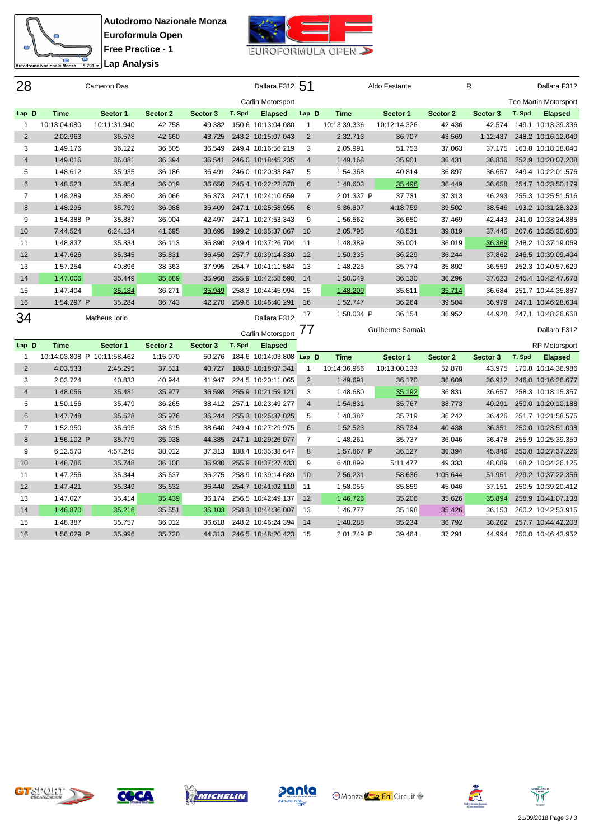



| 28                      |                             | Cameron Das      |                  |                  |        | Dallara F312 51                          |                |                      | Aldo Festante    |                  | R                |        | Dallara F312                             |
|-------------------------|-----------------------------|------------------|------------------|------------------|--------|------------------------------------------|----------------|----------------------|------------------|------------------|------------------|--------|------------------------------------------|
|                         |                             |                  |                  |                  |        | Carlin Motorsport                        |                |                      |                  |                  |                  |        | <b>Teo Martin Motorsport</b>             |
| Lap D                   | <b>Time</b>                 | Sector 1         | Sector 2         | Sector 3         | T. Spd | <b>Elapsed</b>                           | Lap D          | <b>Time</b>          | Sector 1         | Sector 2         | Sector 3         | T. Spd | <b>Elapsed</b>                           |
| 1                       | 10:13:04.080                | 10:11:31.940     | 42.758           | 49.382           |        | 150.6 10:13:04.080                       | 1              | 10:13:39.336         | 10:12:14.326     | 42.436           | 42.574           |        | 149.1 10:13:39.336                       |
| $\sqrt{2}$              | 2:02.963                    | 36.578           | 42.660           | 43.725           |        | 243.2 10:15:07.043                       | $\sqrt{2}$     | 2:32.713             | 36.707           | 43.569           | 1:12.437         |        | 248.2 10:16:12.049                       |
| 3                       | 1:49.176                    | 36.122           | 36.505           | 36.549           |        | 249.4 10:16:56.219                       | 3              | 2:05.991             | 51.753           | 37.063           | 37.175           |        | 163.8 10:18:18.040                       |
| $\overline{4}$          | 1:49.016                    | 36.081           | 36.394           | 36.541           |        | 246.0 10:18:45.235                       | $\overline{4}$ | 1:49.168             | 35.901           | 36.431           | 36.836           |        | 252.9 10:20:07.208                       |
| 5                       | 1:48.612                    | 35.935           | 36.186           | 36.491           |        | 246.0 10:20:33.847                       | 5              | 1:54.368             | 40.814           | 36.897           | 36.657           |        | 249.4 10:22:01.576                       |
| $\,6$                   | 1:48.523                    | 35.854           | 36.019           | 36.650           |        | 245.4 10:22:22.370                       | 6              | 1:48.603             | 35.496           | 36.449           | 36.658           |        | 254.7 10:23:50.179                       |
| 7                       | 1:48.289                    | 35.850           | 36.066           | 36.373           |        | 247.1 10:24:10.659                       | $\overline{7}$ | 2:01.337 P           | 37.731           | 37.313           | 46.293           |        | 255.3 10:25:51.516                       |
| 8                       | 1:48.296                    | 35.799           | 36.088           | 36.409           |        | 247.1 10:25:58.955                       | 8              | 5:36.807             | 4:18.759         | 39.502           | 38.546           |        | 193.2 10:31:28.323                       |
| 9                       | 1:54.388 P                  | 35.887           | 36.004           | 42.497           |        | 247.1 10:27:53.343                       | 9              | 1:56.562             | 36.650           | 37.469           | 42.443           |        | 241.0 10:33:24.885                       |
| 10                      | 7:44.524                    | 6:24.134         | 41.695           | 38.695           |        | 199.2 10:35:37.867                       | 10             | 2:05.795             | 48.531           | 39.819           | 37.445           |        | 207.6 10:35:30.680                       |
| 11                      | 1:48.837                    | 35.834           | 36.113           | 36.890           |        | 249.4 10:37:26.704                       | 11             | 1:48.389             | 36.001           | 36.019           | 36.369           |        | 248.2 10:37:19.069                       |
| 12                      | 1:47.626                    | 35.345           | 35.831           | 36.450           |        | 257.7 10:39:14.330                       | 12             | 1:50.335             | 36.229           | 36.244           | 37.862           |        | 246.5 10:39:09.404                       |
| 13                      | 1:57.254                    | 40.896           | 38.363           | 37.995           |        | 254.7 10:41:11.584                       | -13            | 1:48.225             | 35.774           | 35.892           | 36.559           |        | 252.3 10:40:57.629                       |
| 14                      | 1:47.006                    | 35.449           | 35.589           | 35.968           |        | 255.9 10:42:58.590                       | 14             | 1:50.049             | 36.130           | 36.296           | 37.623           |        | 245.4 10:42:47.678                       |
| 15                      | 1:47.404                    | 35.184           | 36.271           | 35.949           |        | 258.3 10:44:45.994                       | 15             | 1:48.209             | 35.811           | 35.714           | 36.684           |        | 251.7 10:44:35.887                       |
| 16                      | 1:54.297 P                  | 35.284           | 36.743           | 42.270           |        | 259.6 10:46:40.291                       | 16             | 1:52.747             | 36.264           | 39.504           | 36.979           |        | 247.1 10:46:28.634                       |
|                         |                             |                  |                  |                  |        |                                          |                | 1:58.034 P           |                  |                  | 44.928           |        | 247.1 10:48:26.668                       |
|                         |                             |                  |                  |                  |        |                                          | 17             |                      | 36.154           | 36.952           |                  |        |                                          |
| 34                      |                             | Matheus Iorio    |                  |                  |        | Dallara F312                             |                |                      | Guilherme Samaia |                  |                  |        | Dallara F312                             |
|                         |                             |                  |                  |                  |        | Carlin Motorsport 77                     |                |                      |                  |                  |                  |        |                                          |
| Lap D                   | <b>Time</b>                 | Sector 1         | Sector 2         | Sector 3         | T. Spd | <b>Elapsed</b>                           |                |                      |                  |                  |                  |        | <b>RP Motorsport</b>                     |
| 1                       | 10:14:03.808 P 10:11:58.462 |                  | 1:15.070         | 50.276           |        | 184.6 10:14:03.808 Lap D                 |                | <b>Time</b>          | Sector 1         | Sector 2         | Sector 3         | T. Spd | <b>Elapsed</b>                           |
| $\overline{2}$          | 4:03.533                    | 2:45.295         | 37.511           | 40.727           |        | 188.8 10:18:07.341                       | 1              | 10:14:36.986         | 10:13:00.133     | 52.878           | 43.975           |        | 170.8 10:14:36.986                       |
| 3                       | 2:03.724                    | 40.833           | 40.944           | 41.947           |        | 224.5 10:20:11.065                       | 2              | 1:49.691             | 36.170           | 36.609           | 36.912           |        | 246.0 10:16:26.677                       |
| $\overline{\mathbf{4}}$ | 1:48.056                    | 35.481           | 35.977           | 36.598           |        | 255.9 10:21:59.121                       | 3              | 1:48.680             | 35.192           | 36.831           | 36.657           |        | 258.3 10:18:15.357                       |
| 5                       | 1:50.156                    | 35.479           | 36.265           | 38.412           |        | 257.1 10:23:49.277                       | 4              | 1:54.831             | 35.767           | 38.773           | 40.291           |        | 250.0 10:20:10.188                       |
| $6\phantom{1}$          | 1:47.748                    | 35.528           | 35.976           | 36.244           |        | 255.3 10:25:37.025                       | 5              | 1:48.387             | 35.719           | 36.242           | 36.426           |        | 251.7 10:21:58.575                       |
| 7                       | 1:52.950                    | 35.695           | 38.615           | 38.640           |        | 249.4 10:27:29.975                       | 6              | 1:52.523             | 35.734           | 40.438           | 36.351           |        | 250.0 10:23:51.098                       |
| $\bf 8$                 | 1:56.102 P                  | 35.779           | 35.938           | 44.385           |        | 247.1 10:29:26.077                       | 7              | 1:48.261             | 35.737           | 36.046           | 36.478           |        | 255.9 10:25:39.359                       |
| 9                       | 6:12.570                    | 4:57.245         | 38.012           | 37.313           |        | 188.4 10:35:38.647                       | 8              | 1:57.867 P           | 36.127           | 36.394           | 45.346           |        | 250.0 10:27:37.226                       |
| 10                      | 1:48.786                    | 35.748           | 36.108           | 36.930           |        | 255.9 10:37:27.433                       | 9              | 6:48.899             | 5:11.477         | 49.333           | 48.089           |        | 168.2 10:34:26.125                       |
| 11                      | 1:47.256                    | 35.344           | 35.637           | 36.275           |        | 258.9 10:39:14.689                       | 10<br>-11      | 2:56.231             | 58.636           | 1:05.644         | 51.951           |        | 229.2 10:37:22.356                       |
| 12                      | 1:47.421                    | 35.349           | 35.632           | 36.440<br>36.174 |        | 254.7 10:41:02.110                       | 12             | 1:58.056             | 35.859           | 45.046           | 37.151           |        | 250.5 10:39:20.412                       |
| 13<br>14                | 1:47.027<br>1:46.870        | 35.414           | 35.439<br>35.551 | 36.103           |        | 256.5 10:42:49.137<br>258.3 10:44:36.007 | 13             | 1:46.726<br>1:46.777 | 35.206<br>35.198 | 35.626<br>35.426 | 35.894<br>36.153 |        | 258.9 10:41:07.138<br>260.2 10:42:53.915 |
| 15                      | 1:48.387                    | 35.216<br>35.757 | 36.012           | 36.618           |        | 248.2 10:46:24.394                       | 14             | 1:48.288             | 35.234           | 36.792           | 36.262           |        | 257.7 10:44:42.203                       |











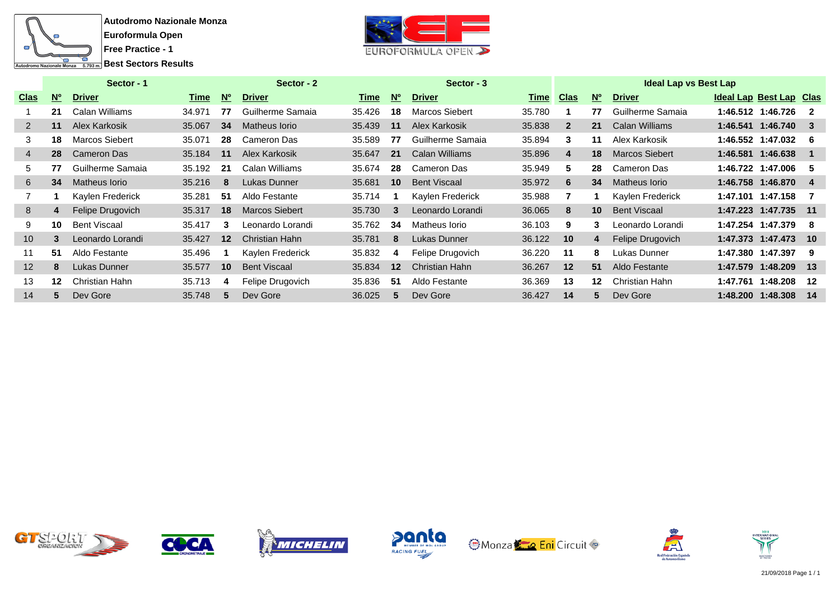



|                   |           | Sector - 1            |        |           | Sector - 2            |        |                 | Sector - 3            |             |                |                 | <b>Ideal Lap vs Best Lap</b> |          |                         |       |
|-------------------|-----------|-----------------------|--------|-----------|-----------------------|--------|-----------------|-----------------------|-------------|----------------|-----------------|------------------------------|----------|-------------------------|-------|
| <b>Clas</b>       | <b>No</b> | <b>Driver</b>         | Time   | <b>N°</b> | <b>Driver</b>         | Time   | <b>No</b>       | <b>Driver</b>         | <b>Time</b> | <b>Clas</b>    | <b>No</b>       | <b>Driver</b>                |          | Ideal Lap Best Lap Clas |       |
|                   | 21        | Calan Williams        | 34.971 | 77        | Guilherme Samaia      | 35.426 | 18              | <b>Marcos Siebert</b> | 35.780      |                | 77              | Guilherme Samaia             |          | 1:46.512 1:46.726       | - 2   |
| $\overline{2}$    | 11        | Alex Karkosik         | 35.067 | 34        | Matheus Iorio         | 35.439 | 11              | Alex Karkosik         | 35.838      | $\overline{2}$ | 21              | <b>Calan Williams</b>        |          | 1:46.541 1:46.740       |       |
| 3                 | 18        | <b>Marcos Siebert</b> | 35.071 | 28        | Cameron Das           | 35.589 | 77              | Guilherme Samaia      | 35.894      | 3              | 11              | Alex Karkosik                |          | 1:46.552 1:47.032       | - 6   |
| 4                 | 28        | Cameron Das           | 35.184 | 11        | Alex Karkosik         | 35.647 | 21              | <b>Calan Williams</b> | 35.896      | 4              | 18              | <b>Marcos Siebert</b>        |          | 1:46.581 1:46.638       |       |
| 5                 | 77        | Guilherme Samaia      | 35.192 | -21       | Calan Williams        | 35.674 | 28              | Cameron Das           | 35.949      | 5              | 28              | Cameron Das                  |          | 1:46.722 1:47.006       | - 5   |
| 6                 | 34        | Matheus Iorio         | 35.216 | 8         | Lukas Dunner          | 35.681 | 10 <sup>1</sup> | <b>Bent Viscaal</b>   | 35.972      | 6              | 34              | Matheus Iorio                |          | 1:46.758 1:46.870       | -4    |
|                   |           | Kaylen Frederick      | 35.281 | -51       | Aldo Festante         | 35.714 |                 | Kaylen Frederick      | 35.988      |                |                 | Kaylen Frederick             |          | 1:47.101 1:47.158       | - 7   |
| 8                 | 4         | Felipe Drugovich      | 35.317 | 18        | <b>Marcos Siebert</b> | 35,730 | 3               | Leonardo Lorandi      | 36.065      | 8              | 10 <sup>°</sup> | <b>Bent Viscaal</b>          |          | 1:47.223 1:47.735       | $-11$ |
| 9                 | 10        | <b>Bent Viscaal</b>   | 35.417 | 3         | Leonardo Lorandi      | 35.762 | 34              | Matheus Iorio         | 36.103      | 9              | 3               | Leonardo Lorandi             |          | 1:47.254 1:47.379       | -8    |
| 10 <sup>°</sup>   | 3         | Leonardo Lorandi      | 35.427 | 12        | <b>Christian Hahn</b> | 35.781 | 8               | Lukas Dunner          | 36.122      | 10             | 4               | Felipe Drugovich             |          | 1:47.373 1:47.473 10    |       |
| 11                | 51        | Aldo Festante         | 35.496 |           | Kaylen Frederick      | 35.832 | 4               | Felipe Drugovich      | 36.220      | 11             | 8               | Lukas Dunner                 |          | 1:47.380 1:47.397       | -9    |
| $12 \overline{ }$ | 8         | Lukas Dunner          | 35.577 | 10        | <b>Bent Viscaal</b>   | 35.834 | 12 <sup>2</sup> | Christian Hahn        | 36.267      | 12             | 51              | Aldo Festante                |          | 1:47.579 1:48.209       | $-13$ |
| 13                | 12        | Christian Hahn        | 35.713 | 4         | Felipe Drugovich      | 35.836 | -51             | Aldo Festante         | 36.369      | 13             | 12              | Christian Hahn               | 1:47.761 | 1:48.208                | 12    |
| 14                |           | Dev Gore              | 35.748 | 5         | Dev Gore              | 36.025 | $5^{\circ}$     | Dev Gore              | 36.427      | 14             | 5               | Dev Gore                     |          | 1:48.200 1:48.308       | 14    |













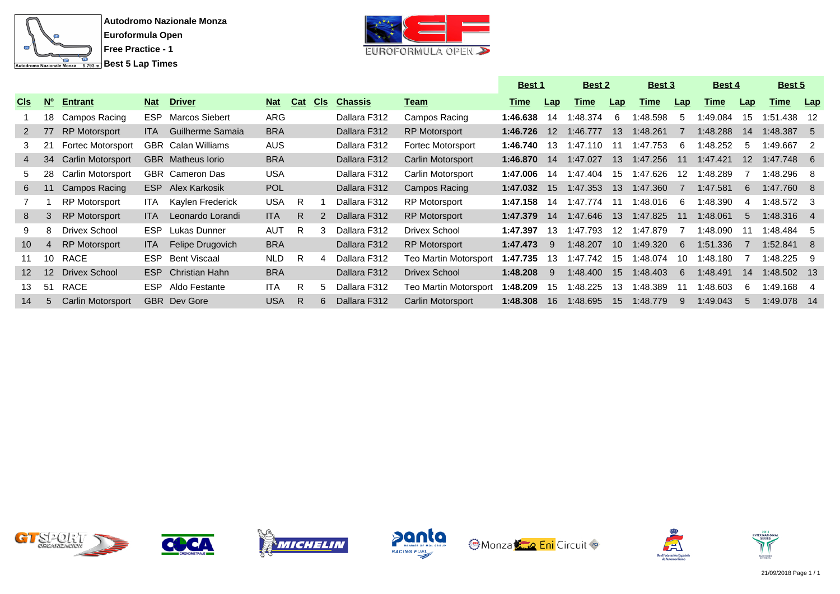



|                 |                 |                          |            |                           |            |            |            |                |                          | <b>Best 1</b> |                   | <b>Best 2</b> |                  | Best 3   |     | Best 4   |                 | Best 5       |                  |
|-----------------|-----------------|--------------------------|------------|---------------------------|------------|------------|------------|----------------|--------------------------|---------------|-------------------|---------------|------------------|----------|-----|----------|-----------------|--------------|------------------|
| <b>CIS</b>      | $N^{\circ}$     | <b>Entrant</b>           | <b>Nat</b> | <b>Driver</b>             | <b>Nat</b> | <b>Cat</b> | <b>CIs</b> | <b>Chassis</b> | <u>Team</u>              | <u>Time</u>   | Lap               | Time          | Lap              | Time     | Lap | Time     | Lap             | <u>Time</u>  | Lap <sub>1</sub> |
|                 | 18              | Campos Racing            | ESP.       | <b>Marcos Siebert</b>     | ARG        |            |            | Dallara F312   | Campos Racing            | 1:46.638      | 14                | :48.374       | -6               | :48.598  | 5   | 1:49.084 | 15              | 1:51.438     | -12              |
| $2^{\circ}$     | 77              | <b>RP Motorsport</b>     | ITA.       | Guilherme Samaia          | <b>BRA</b> |            |            | Dallara F312   | <b>RP Motorsport</b>     | 1:46.726      | $12 \overline{ }$ | :46.777       | 13               | :48.261  |     | 1:48.288 | 14              | 1:48.387     | -5               |
|                 | 21              | <b>Fortec Motorsport</b> |            | <b>GBR</b> Calan Williams | <b>AUS</b> |            |            | Dallara F312   | Fortec Motorsport        | 1:46.740      | 13                | 1:47.110      | 11               | 1:47.753 | 6   | 1:48.252 | 5               | 1:49.667     | -2               |
| 4               | 34              | <b>Carlin Motorsport</b> |            | <b>GBR</b> Matheus lorio  | <b>BRA</b> |            |            | Dallara F312   | <b>Carlin Motorsport</b> | 1:46.870      | -14               | 1:47.027      | 13               | 1:47.256 | 11  | 1:47.421 | 12 <sup>2</sup> | 1:47.748     | - 6              |
| 5               | 28              | Carlin Motorsport        |            | <b>GBR</b> Cameron Das    | <b>USA</b> |            |            | Dallara F312   | Carlin Motorsport        | 1:47.006      | 14                | :47.404       | 15               | :47.626  | 12  | :48.289  |                 | 1:48.296     | -8               |
| 6               | 11              | Campos Racing            | ESP.       | Alex Karkosik             | <b>POL</b> |            |            | Dallara F312   | Campos Racing            | 1:47.032      | 15                | 1:47.353      | 13               | 1:47.360 |     | 1:47.581 | 6               | 1:47.760 8   |                  |
|                 |                 | <b>RP Motorsport</b>     | ITA.       | Kaylen Frederick          | <b>USA</b> | R.         |            | Dallara F312   | <b>RP Motorsport</b>     | 1:47.158      | 14                | 1:47.774      | -11              | 1:48.016 | -6  | 1:48.390 | -4              | $1:48.572$ 3 |                  |
| 8               | 3               | <b>RP Motorsport</b>     | <b>ITA</b> | Leonardo Lorandi          | <b>ITA</b> | R.         |            | Dallara F312   | <b>RP Motorsport</b>     | 1:47.379      | 14                | 1:47.646      | 13               | 1:47.825 | 11  | 1:48.061 | 5               | $1:48.316$ 4 |                  |
| 9               | 8               | Drivex School            | ESP        | Lukas Dunner              | AUT        | R.         | 3          | Dallara F312   | Drivex School            | 1:47.397      | 13                | 1:47.793      | 12 <sup>12</sup> | 1:47.879 |     | 1:48.090 |                 | 1:48.484     | -5               |
| 10 <sup>°</sup> | 4               | <b>RP Motorsport</b>     | <b>ITA</b> | Felipe Drugovich          | <b>BRA</b> |            |            | Dallara F312   | <b>RP Motorsport</b>     | 1:47.473      | 9                 | 1:48.207      | 10 <sup>1</sup>  | 1:49.320 | 6   | 1:51.336 |                 | 1:52.841     | -8               |
| 11              | 10              | RACE                     | ESP.       | <b>Bent Viscaal</b>       | <b>NLD</b> | R.         | 4          | Dallara F312   | Teo Martin Motorsport    | 1:47.735      | 13                | 1:47.742      | 15               | :48.074  | 10  | 1:48.180 |                 | 1:48.225     | -9               |
| 12 <sup>2</sup> | 12 <sup>2</sup> | Drivex School            | <b>ESP</b> | <b>Christian Hahn</b>     | <b>BRA</b> |            |            | Dallara F312   | <b>Drivex School</b>     | 1:48.208      | 9                 | 1:48.400      | 15               | 1:48.403 | 6   | 1:48.491 | 14              | 1:48.502 13  |                  |
| 13              | 51              | RACE                     | ESP.       | Aldo Festante             | ITA        | R.         | 5          | Dallara F312   | Teo Martin Motorsport    | 1:48.209      | 15                | :48.225       | 13               | :48.389  |     | 1:48.603 | 6               | 1:49.168     | -4               |
| 14              | 5               | <b>Carlin Motorsport</b> |            | <b>GBR</b> Dev Gore       | <b>USA</b> | R.         | 6          | Dallara F312   | Carlin Motorsport        | 1:48.308      | 16                | 1:48.695      | 15               | 1:48.779 | 9   | 1:49.043 | 5               | 1:49.078     | 14               |













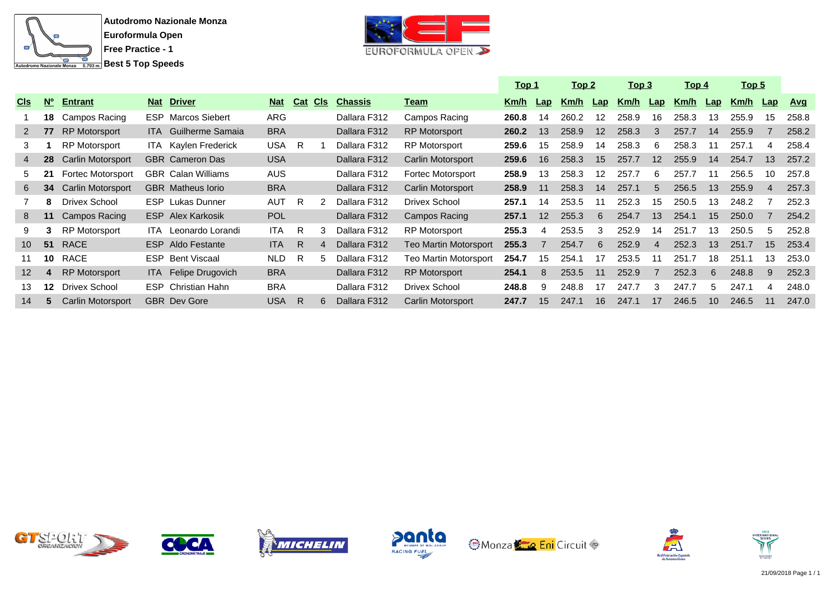



|                 |             |                          |            |                             |            |            |            |                |                          | <u> Top 1</u> |     | <u>Top 2</u> |     | <u>Top 3</u> |                | <u> Top 4</u> |                | <u>Top 5</u> |                |            |
|-----------------|-------------|--------------------------|------------|-----------------------------|------------|------------|------------|----------------|--------------------------|---------------|-----|--------------|-----|--------------|----------------|---------------|----------------|--------------|----------------|------------|
| <b>CIS</b>      | $N^{\circ}$ | <b>Entrant</b>           | <b>Nat</b> | <b>Driver</b>               | <b>Nat</b> | <b>Cat</b> | <b>CIS</b> | <b>Chassis</b> | <u>Team</u>              | Km/h          | Lap | Km/h         | Lap | Km/h         | $\mathsf{Lap}$ | Km/h          | $\mathsf{Lap}$ | Km/h         | $\mathsf{Lap}$ | <u>Avq</u> |
|                 | 18          | Campos Racing            |            | <b>ESP</b> Marcos Siebert   | <b>ARG</b> |            |            | Dallara F312   | Campos Racing            | 260.8         | 14  | 260.2        | 12  | 258.9        | 16             | 258.3         | 13             | 255.9        | 15             | 258.8      |
| 2               | 77          | <b>RP Motorsport</b>     |            | <b>ITA</b> Guilherme Samaia | <b>BRA</b> |            |            | Dallara F312   | <b>RP Motorsport</b>     | 260.2         | 13  | 258.9        | 12  | 258.3        | 3              | 257.7         | 14             | 255.9        |                | 258.2      |
| 3               |             | <b>RP Motorsport</b>     |            | <b>ITA</b> Kaylen Frederick | USA.       | - R        |            | Dallara F312   | <b>RP Motorsport</b>     | 259.6         | 15  | 258.9        | 14  | 258.3        | 6              | 258.3         | 11             | 257.1        | 4              | 258.4      |
| 4               | 28          | <b>Carlin Motorsport</b> |            | <b>GBR</b> Cameron Das      | <b>USA</b> |            |            | Dallara F312   | Carlin Motorsport        | 259.6         | 16  | 258.3        | 15  | 257.7        | 12             | 255.9         | 14             | 254.7        | 13             | 257.2      |
| 5.              | 21          | Fortec Motorsport        |            | GBR Calan Williams          | <b>AUS</b> |            |            | Dallara F312   | Fortec Motorsport        | 258.9         | 13  | 258.3        | 12  | 257.7        | 6              | 257.7         |                | 256.5        | 10             | 257.8      |
| 6               | 34          | <b>Carlin Motorsport</b> |            | <b>GBR</b> Matheus lorio    | <b>BRA</b> |            |            | Dallara F312   | Carlin Motorsport        | 258.9         | 11  | 258.3        | 14  | 257.1        | $5^{\circ}$    | 256.5         | 13             | 255.9        | $\overline{4}$ | 257.3      |
|                 | 8           | Drivex School            |            | <b>ESP</b> Lukas Dunner     | <b>AUT</b> | - R        |            | Dallara F312   | Drivex School            | 257.1         | 14  | 253.5        | 11  | 252.3        | 15             | 250.5         | 13             | 248.2        |                | 252.3      |
| 8               | 11          | Campos Racing            |            | <b>ESP</b> Alex Karkosik    | <b>POL</b> |            |            | Dallara F312   | Campos Racing            | 257.1         | 12  | 255.3        | 6   | 254.7        | 13             | 254.1         | 15             | 250.0        |                | 254.2      |
| 9               | 3           | <b>RP Motorsport</b>     | ITA -      | Leonardo Lorandi            | <b>ITA</b> | - R        |            | Dallara F312   | <b>RP Motorsport</b>     | 255.3         | 4   | 253.5        | 3   | 252.9        | 14             | 251.7         | 13             | 250.5        | 5              | 252.8      |
| 10 <sup>1</sup> | 51          | <b>RACE</b>              |            | <b>ESP</b> Aldo Festante    | <b>ITA</b> | R.         |            | Dallara F312   | Teo Martin Motorsport    | 255.3         |     | 254.7        | 6   | 252.9        | 4              | 252.3         | 13             | 251.7        | 15             | 253.4      |
| 11              | 10          | RACE                     |            | <b>ESP</b> Bent Viscaal     | <b>NLD</b> | R          |            | Dallara F312   | Teo Martin Motorsport    | 254.7         | 15  | 254.1        | 17  | 253.5        |                | 251.7         | 18             | 251.         | 13             | 253.0      |
| 12 <sup>2</sup> | 4           | <b>RP Motorsport</b>     |            | ITA Felipe Drugovich        | <b>BRA</b> |            |            | Dallara F312   | <b>RP Motorsport</b>     | 254.1         | 8   | 253.5        | 11  | 252.9        |                | 252.3         | 6              | 248.8        | -9             | 252.3      |
| 13              | 12          | <b>Drivex School</b>     |            | <b>ESP</b> Christian Hahn   | <b>BRA</b> |            |            | Dallara F312   | Drivex School            | 248.8         | я   | 248.8        | 17  | 247.7        | 3              | 247.7         | 5              | 247.1        | 4              | 248.0      |
| 14              | 5           | <b>Carlin Motorsport</b> |            | <b>GBR</b> Dev Gore         | USA        | R          |            | Dallara F312   | <b>Carlin Motorsport</b> | 247.7         | 15  | 247.1        | 16  | 247.1        | 17             | 246.5         | 10             | 246.5        | 11             | 247.0      |













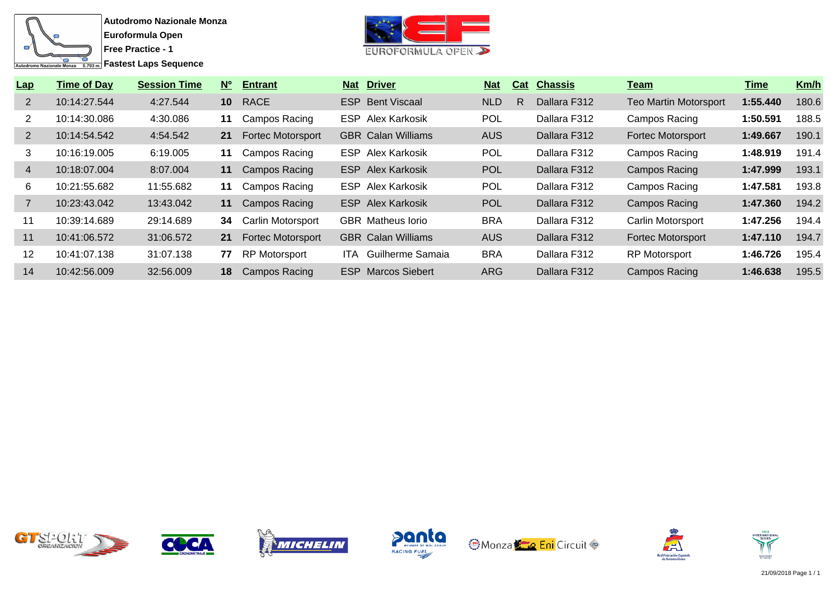



| Lap            | <b>Time of Day</b> | <b>Session Time</b> | $N^{\circ}$     | <b>Entrant</b>           |       | <b>Nat Driver</b>         | <b>Nat</b> | Cat | <b>Chassis</b> | Team                         | Time     | Km/h  |
|----------------|--------------------|---------------------|-----------------|--------------------------|-------|---------------------------|------------|-----|----------------|------------------------------|----------|-------|
| $\overline{2}$ | 10:14:27.544       | 4:27.544            | 10 <sup>°</sup> | RACE                     |       | <b>ESP</b> Bent Viscaal   | <b>NLD</b> | R   | Dallara F312   | <b>Teo Martin Motorsport</b> | 1:55.440 | 180.6 |
| 2              | 10:14:30.086       | 4:30.086            | 11              | Campos Racing            |       | <b>ESP</b> Alex Karkosik  | <b>POL</b> |     | Dallara F312   | Campos Racing                | 1:50.591 | 188.5 |
| $\overline{2}$ | 10:14:54.542       | 4:54.542            | 21              | <b>Fortec Motorsport</b> |       | <b>GBR</b> Calan Williams | AUS        |     | Dallara F312   | <b>Fortec Motorsport</b>     | 1:49.667 | 190.1 |
| 3              | 10:16:19.005       | 6:19.005            | 11              | Campos Racing            |       | <b>ESP</b> Alex Karkosik  | <b>POL</b> |     | Dallara F312   | Campos Racing                | 1:48.919 | 191.4 |
| $\overline{4}$ | 10:18:07.004       | 8:07.004            | 11              | <b>Campos Racing</b>     |       | <b>ESP</b> Alex Karkosik  | <b>POL</b> |     | Dallara F312   | Campos Racing                | 1:47.999 | 193.1 |
| 6              | 10:21:55.682       | 11:55.682           | 11              | Campos Racing            |       | <b>ESP</b> Alex Karkosik  | <b>POL</b> |     | Dallara F312   | Campos Racing                | 1:47.581 | 193.8 |
|                | 10:23:43.042       | 13:43.042           | 11              | <b>Campos Racing</b>     |       | <b>ESP</b> Alex Karkosik  | <b>POL</b> |     | Dallara F312   | Campos Racing                | 1:47.360 | 194.2 |
| 11             | 10:39:14.689       | 29:14.689           | 34              | Carlin Motorsport        |       | <b>GBR</b> Matheus lorio  | <b>BRA</b> |     | Dallara F312   | Carlin Motorsport            | 1:47.256 | 194.4 |
| 11             | 10:41:06.572       | 31:06.572           | 21              | <b>Fortec Motorsport</b> |       | <b>GBR</b> Calan Williams | <b>AUS</b> |     | Dallara F312   | Fortec Motorsport            | 1:47.110 | 194.7 |
| 12             | 10:41:07.138       | 31:07.138           | 77              | RP Motorsport            | ITA - | Guilherme Samaia          | <b>BRA</b> |     | Dallara F312   | <b>RP Motorsport</b>         | 1:46.726 | 195.4 |
| 14             | 10:42:56.009       | 32:56.009           | 18              | <b>Campos Racing</b>     |       | <b>ESP</b> Marcos Siebert | <b>ARG</b> |     | Dallara F312   | Campos Racing                | 1:46.638 | 195.5 |













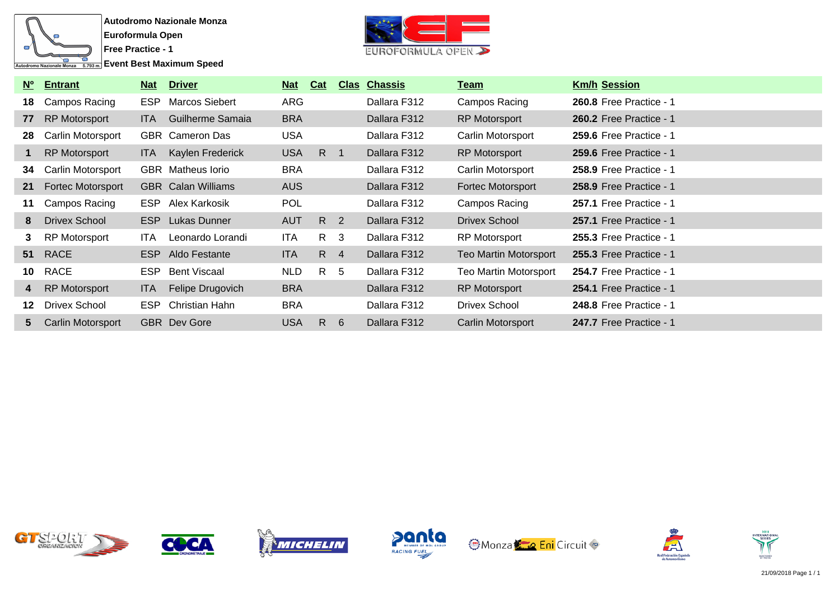

**Event Best Maximum Speed** 



|                | Nº Entrant               | <u>Nat</u> | <b>Driver</b>             | $Nat$      | Cat            |     | <b>Clas Chassis</b> | Team                         | <b>Km/h Session</b>            |
|----------------|--------------------------|------------|---------------------------|------------|----------------|-----|---------------------|------------------------------|--------------------------------|
| 18             | Campos Racing            | <b>ESP</b> | Marcos Siebert            | ARG        |                |     | Dallara F312        | Campos Racing                | <b>260.8 Free Practice - 1</b> |
| 77             | <b>RP Motorsport</b>     | <b>ITA</b> | Guilherme Samaia          | <b>BRA</b> |                |     | Dallara F312        | <b>RP Motorsport</b>         | <b>260.2 Free Practice - 1</b> |
| 28             | Carlin Motorsport        |            | <b>GBR</b> Cameron Das    | <b>USA</b> |                |     | Dallara F312        | Carlin Motorsport            | 259.6 Free Practice - 1        |
| 1              | <b>RP Motorsport</b>     | ITA.       | Kaylen Frederick          | <b>USA</b> | $R \quad 1$    |     | Dallara F312        | <b>RP Motorsport</b>         | <b>259.6 Free Practice - 1</b> |
| 34             | Carlin Motorsport        |            | <b>GBR</b> Matheus lorio  | <b>BRA</b> |                |     | Dallara F312        | Carlin Motorsport            | <b>258.9 Free Practice - 1</b> |
| 21             | <b>Fortec Motorsport</b> |            | <b>GBR</b> Calan Williams | <b>AUS</b> |                |     | Dallara F312        | Fortec Motorsport            | <b>258.9 Free Practice - 1</b> |
| 11             | Campos Racing            | ESP        | Alex Karkosik             | <b>POL</b> |                |     | Dallara F312        | Campos Racing                | <b>257.1 Free Practice - 1</b> |
| 8              | Drivex School            | ESP        | Lukas Dunner              | <b>AUT</b> | R <sub>2</sub> |     | Dallara F312        | Drivex School                | 257.1 Free Practice - 1        |
| 3              | <b>RP Motorsport</b>     | ITA.       | Leonardo Lorandi          | ITA        | R 3            |     | Dallara F312        | RP Motorsport                | <b>255.3 Free Practice - 1</b> |
| 51             | <b>RACE</b>              | ESP        | Aldo Festante             | ITA.       | $R \quad 4$    |     | Dallara F312        | <b>Teo Martin Motorsport</b> | <b>255.3 Free Practice - 1</b> |
| 10             | RACE                     |            | ESP Bent Viscaal          | <b>NLD</b> | $R_{\perp}$    | - 5 | Dallara F312        | <b>Teo Martin Motorsport</b> | 254.7 Free Practice - 1        |
| 4              | <b>RP Motorsport</b>     | <b>ITA</b> | Felipe Drugovich          | <b>BRA</b> |                |     | Dallara F312        | <b>RP Motorsport</b>         | 254.1 Free Practice - 1        |
| 12             | Drivex School            | <b>ESP</b> | Christian Hahn            | <b>BRA</b> |                |     | Dallara F312        | Drivex School                | 248.8 Free Practice - 1        |
| 5 <sup>5</sup> | Carlin Motorsport        |            | <b>GBR</b> Dev Gore       | <b>USA</b> | R              | 6   | Dallara F312        | Carlin Motorsport            | 247.7 Free Practice - 1        |













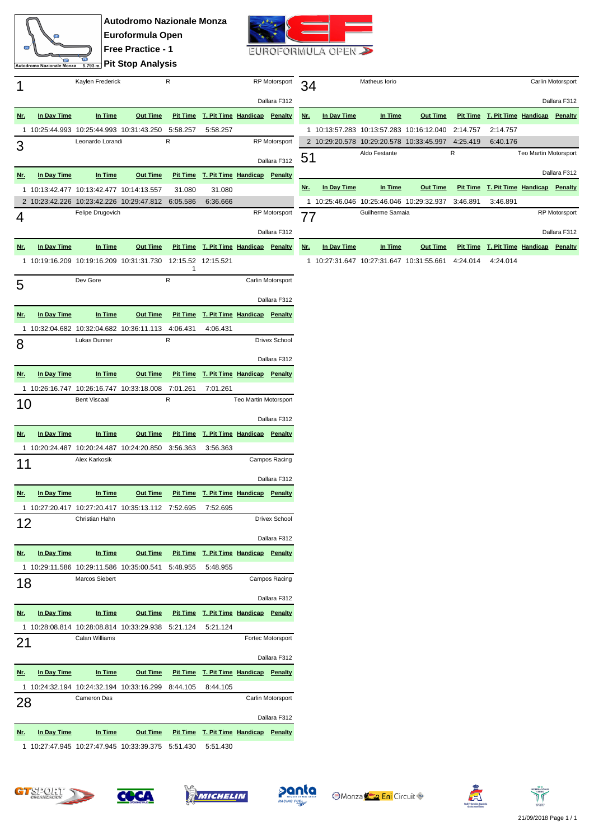

**Autodromo Nazionale Monza Euroformula Open Free Practice - 1 <u><b>Pit Stop Analysis**</u>



|              |             | Kaylen Frederick                                              |                 | R             |                                                | <b>RP</b> Motorsport  |                      |  |
|--------------|-------------|---------------------------------------------------------------|-----------------|---------------|------------------------------------------------|-----------------------|----------------------|--|
|              |             |                                                               |                 |               |                                                |                       | Dallara F312         |  |
| <u>Nr.</u>   | In Day Time | In Time                                                       | <b>Out Time</b> |               | Pit Time T. Pit Time Handicap Penalty          |                       |                      |  |
| 1            |             | 10:25:44.993 10:25:44.993 10:31:43.250                        |                 | 5:58.257<br>R | 5:58.257                                       |                       | <b>RP</b> Motorsport |  |
| 3            |             | Leonardo Lorandi                                              |                 |               |                                                |                       | Dallara F312         |  |
| <u>Nr.</u>   | In Day Time | In Time                                                       | Out Time        |               | Pit Time T. Pit Time Handicap Penalty          |                       |                      |  |
| $\mathbf{1}$ |             | 10:13:42.477 10:13:42.477 10:14:13.557                        |                 | 31.080        | 31.080                                         |                       |                      |  |
|              |             | 2 10:23:42.226 10:23:42.226 10:29:47.812                      |                 | 6:05.586      | 6:36.666                                       |                       |                      |  |
| 4            |             | Felipe Drugovich                                              |                 |               |                                                |                       | <b>RP</b> Motorsport |  |
|              |             |                                                               |                 |               |                                                |                       | Dallara F312         |  |
| <u>Nr.</u>   | In Day Time | In Time                                                       | Out Time        |               | Pit Time T. Pit Time Handicap Penalty          |                       |                      |  |
| 1            |             | 10:19:16.209  10:19:16.209  10:31:31.730  12:15.52  12:15.521 |                 |               |                                                |                       |                      |  |
|              |             |                                                               |                 | 1             |                                                |                       |                      |  |
| 5            |             | Dev Gore                                                      |                 | R             |                                                |                       | Carlin Motorsport    |  |
|              |             |                                                               |                 |               |                                                |                       | Dallara F312         |  |
| <u>Nr.</u>   | In Day Time | In Time                                                       | <b>Out Time</b> |               | Pit Time T. Pit Time Handicap Penalty          |                       |                      |  |
| 1            |             | 10:32:04.682  10:32:04.682  10:36:11.113                      |                 | 4:06.431      | 4:06.431                                       |                       |                      |  |
|              |             | Lukas Dunner                                                  |                 | R             |                                                |                       | <b>Drivex School</b> |  |
| 8            |             |                                                               |                 |               |                                                |                       | Dallara F312         |  |
| <u>Nr.</u>   | In Day Time | In Time                                                       | <b>Out Time</b> |               | Pit Time T. Pit Time Handicap Penalty          |                       |                      |  |
|              |             |                                                               |                 |               |                                                |                       |                      |  |
| 1.           |             | 10:26:16.747 10:26:16.747 10:33:18.008<br><b>Bent Viscaal</b> |                 | 7:01.261<br>R | 7:01.261                                       | Teo Martin Motorsport |                      |  |
| 10           |             |                                                               |                 |               |                                                |                       |                      |  |
|              |             |                                                               |                 |               |                                                |                       | Dallara F312         |  |
| Nr.          | In Day Time | In Time                                                       | <b>Out Time</b> |               | Pit Time T. Pit Time Handicap Penalty          |                       |                      |  |
| 1            |             | 10:20:24.487  10:20:24.487  10:24:20.850                      |                 | 3:56.363      | 3:56.363                                       |                       |                      |  |
| 11           |             | Alex Karkosik                                                 |                 |               |                                                |                       | Campos Racing        |  |
|              |             |                                                               |                 |               |                                                |                       | Dallara F312         |  |
| Nr.          | In Day Time | In Time                                                       | <b>Out Time</b> |               | Pit Time T. Pit Time Handicap Penalty          |                       |                      |  |
| 1            |             | 10:27:20.417  10:27:20.417  10:35:13.112                      |                 | 7:52.695      | 7:52.695                                       |                       |                      |  |
|              |             | Christian Hahn                                                |                 |               |                                                |                       | <b>Drivex School</b> |  |
| 12           |             |                                                               |                 |               |                                                |                       |                      |  |
|              |             |                                                               |                 |               |                                                |                       | Dallara F312         |  |
| <u>Nr.</u>   | In Day Time | In Time                                                       |                 |               | Out Time Pit Time T. Pit Time Handicap Penalty |                       |                      |  |
|              |             | 1 10:29:11.586 10:29:11.586 10:35:00.541                      |                 | 5:48.955      | 5:48.955                                       |                       |                      |  |
| 18           |             | Marcos Siebert                                                |                 |               |                                                |                       | Campos Racing        |  |
|              |             |                                                               |                 |               |                                                |                       | Dallara F312         |  |
| <u>Nr.</u>   | In Day Time | In Time                                                       | <b>Out Time</b> |               | Pit Time T. Pit Time Handicap Penalty          |                       |                      |  |
| 1            |             | 10:28:08.814  10:28:08.814  10:33:29.938                      |                 | 5:21.124      | 5:21.124                                       |                       |                      |  |
| 21           |             | Calan Williams                                                |                 |               |                                                |                       | Fortec Motorsport    |  |
|              |             |                                                               |                 |               |                                                |                       | Dallara F312         |  |
| <u>Nr.</u>   | In Day Time | In Time                                                       | <u>Out Time</u> |               | Pit Time T. Pit Time Handicap Penalty          |                       |                      |  |
| 1            |             | 10:24:32.194 10:24:32.194 10:33:16.299 8:44.105               |                 |               | 8:44.105                                       |                       |                      |  |
| 28           |             | Cameron Das                                                   |                 |               |                                                |                       | Carlin Motorsport    |  |
|              |             |                                                               |                 |               |                                                |                       | Dallara F312         |  |
| <u>Nr.</u>   | In Day Time | In Time                                                       | Out Time        |               | Pit Time T. Pit Time Handicap Penalty          |                       |                      |  |
|              |             | 1 10:27:47.945 10:27:47.945 10:33:39.375 5:51.430 5:51.430    |                 |               |                                                |                       |                      |  |

| 34  |             | Matheus Iorio                            |                 |                 |                       |  | Carlin Motorsport    |  |
|-----|-------------|------------------------------------------|-----------------|-----------------|-----------------------|--|----------------------|--|
|     |             |                                          |                 |                 |                       |  | Dallara F312         |  |
| Nr. | In Day Time | In Time                                  | <b>Out Time</b> | <b>Pit Time</b> | T. Pit Time Handicap  |  | Penalty              |  |
| 1   |             | 10:13:57.283 10:13:57.283 10:16:12.040   |                 | 2:14.757        | 2:14.757              |  |                      |  |
|     |             | 2 10:29:20.578 10:29:20.578 10:33:45.997 |                 | 4:25.419        | 6:40.176              |  |                      |  |
| 51  |             | Aldo Festante                            |                 | R               | Teo Martin Motorsport |  |                      |  |
|     |             |                                          |                 |                 |                       |  | Dallara F312         |  |
| Nr. | In Day Time | In Time                                  | <b>Out Time</b> | <b>Pit Time</b> | T. Pit Time Handicap  |  | Penalty              |  |
| 1   |             | 10:25:46.046 10:25:46.046 10:29:32.937   |                 | 3:46.891        | 3:46.891              |  |                      |  |
| 77  |             | Guilherme Samaia                         |                 |                 |                       |  |                      |  |
|     |             |                                          |                 |                 |                       |  | <b>RP Motorsport</b> |  |
|     |             |                                          |                 |                 |                       |  | Dallara F312         |  |

1 10:27:31.647 10:27:31.647 10:31:55.661 4:24.014 4:24.014









**OMonza Eni** Circuit